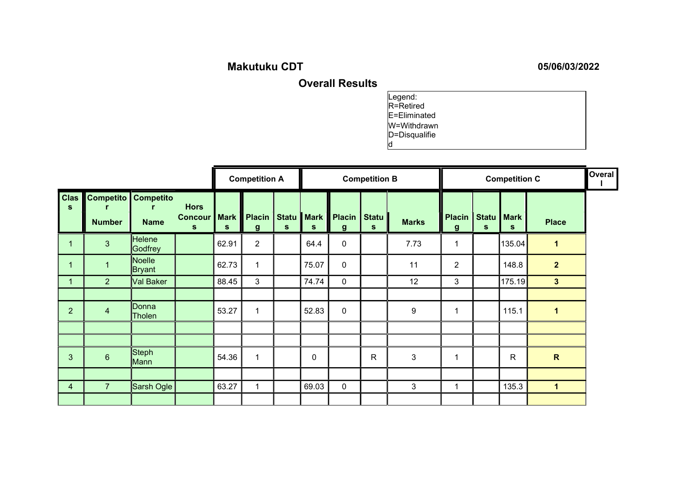## Makutuku CDT 05/06/03/2022

Overall Results

d

Legend: R=Retired E=Eliminated W=Withdrawn D=Disqualifie

|                         |                                             | <b>Competition A</b> |                                                  |       |                              |                   | <b>Competition B</b>        |                    | <b>Competition C</b> |                |                   |   | Overal           |                |  |
|-------------------------|---------------------------------------------|----------------------|--------------------------------------------------|-------|------------------------------|-------------------|-----------------------------|--------------------|----------------------|----------------|-------------------|---|------------------|----------------|--|
| $C$ las<br>$\mathbf{s}$ | <b>Competito</b> Competito<br><b>Number</b> | <b>Name</b>          | <b>Hors</b><br><b>Concour   Mark</b><br><b>S</b> | S     | Placin  <br>$\boldsymbol{g}$ | <b>Statu</b><br>S | <b>Mark</b><br><sub>S</sub> | <b>Placin</b><br>g | Statu<br>S           | <b>Marks</b>   | Placin Statu<br>g | S | <b>Mark</b><br>S | <b>Place</b>   |  |
| 1                       | $\overline{3}$                              | Helene<br>Bodfrey    |                                                  | 62.91 | $\overline{2}$               |                   | 64.4                        | $\mathbf 0$        |                      | 7.73           |                   |   | 135.04           | 1              |  |
| 1                       | 1                                           | Noelle<br>∥Bryant    |                                                  | 62.73 | $\mathbf 1$                  |                   | 75.07                       | $\mathbf 0$        |                      | 11             | $\overline{2}$    |   | 148.8            | $\overline{2}$ |  |
| $\mathbf 1$             | $\overline{2}$                              | Val Baker            |                                                  | 88.45 | 3                            |                   | 74.74                       | $\mathbf 0$        |                      | 12             | 3                 |   | 175.19           | 3 <sup>5</sup> |  |
| $\overline{2}$          | $\overline{4}$                              | Donna<br>Tholen      |                                                  | 53.27 | $\mathbf{1}$                 |                   | 52.83                       | $\pmb{0}$          |                      | 9              |                   |   | 115.1            | $\mathbf 1$    |  |
|                         |                                             |                      |                                                  |       |                              |                   |                             |                    |                      |                |                   |   |                  |                |  |
|                         |                                             |                      |                                                  |       |                              |                   |                             |                    |                      |                |                   |   |                  |                |  |
| $\mathbf{3}$            | $6\phantom{1}$                              | Steph<br>∥Mann       |                                                  | 54.36 | $\blacktriangleleft$         |                   | $\mathbf 0$                 |                    | $\mathsf{R}$         | $\mathfrak{3}$ |                   |   | $\mathsf{R}$     | $\mathbf R$    |  |
|                         |                                             |                      |                                                  |       |                              |                   |                             |                    |                      |                |                   |   |                  |                |  |
| 4                       | $\overline{7}$                              | Sarsh Ogle           |                                                  | 63.27 | 1                            |                   | 69.03                       | $\mathbf 0$        |                      | 3              | 1                 |   | 135.3            | $\mathbf 1$    |  |
|                         |                                             |                      |                                                  |       |                              |                   |                             |                    |                      |                |                   |   |                  |                |  |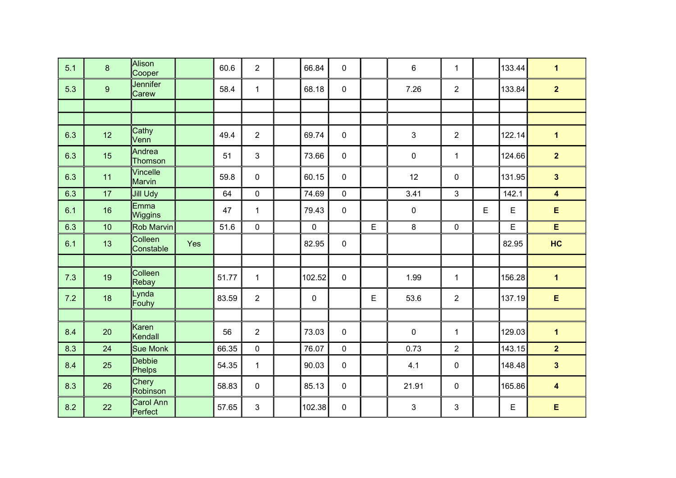| 5.1 | 8  | Alison<br>Cooper     |     | 60.6  | $\overline{2}$ | 66.84       | $\mathbf 0$ |   | $\,6\,$     | $\mathbf{1}$   |             | 133.44 | $\mathbf{1}$            |
|-----|----|----------------------|-----|-------|----------------|-------------|-------------|---|-------------|----------------|-------------|--------|-------------------------|
| 5.3 | 9  | Jennifer<br>Carew    |     | 58.4  | $\mathbf{1}$   | 68.18       | $\mathbf 0$ |   | 7.26        | $\overline{2}$ |             | 133.84 | $\overline{2}$          |
|     |    |                      |     |       |                |             |             |   |             |                |             |        |                         |
|     |    |                      |     |       |                |             |             |   |             |                |             |        |                         |
| 6.3 | 12 | Cathy<br>Venn        |     | 49.4  | $\overline{2}$ | 69.74       | $\mathbf 0$ |   | 3           | $\overline{2}$ |             | 122.14 | $\overline{1}$          |
| 6.3 | 15 | Andrea<br>Thomson    |     | 51    | 3              | 73.66       | $\mathbf 0$ |   | $\mathbf 0$ | $\mathbf{1}$   |             | 124.66 | $\overline{2}$          |
| 6.3 | 11 | Vincelle<br>Marvin   |     | 59.8  | 0              | 60.15       | $\mathbf 0$ |   | 12          | 0              |             | 131.95 | $\overline{\mathbf{3}}$ |
| 6.3 | 17 | Jill Udy             |     | 64    | 0              | 74.69       | $\mathbf 0$ |   | 3.41        | 3              |             | 142.1  | $\overline{\mathbf{4}}$ |
| 6.1 | 16 | Emma<br>Wiggins      |     | 47    | 1              | 79.43       | $\mathbf 0$ |   | $\pmb{0}$   |                | $\mathsf E$ | E      | E                       |
| 6.3 | 10 | Rob Marvin           |     | 51.6  | 0              | $\mathbf 0$ |             | E | $\bf 8$     | 0              |             | E      | E                       |
| 6.1 | 13 | Colleen<br>Constable | Yes |       |                | 82.95       | $\mathbf 0$ |   |             |                |             | 82.95  | HC                      |
|     |    |                      |     |       |                |             |             |   |             |                |             |        |                         |
| 7.3 | 19 | Colleen<br>Rebay     |     | 51.77 | $\mathbf{1}$   | 102.52      | $\mathbf 0$ |   | 1.99        | $\mathbf{1}$   |             | 156.28 | $\overline{\mathbf{1}}$ |
| 7.2 | 18 | Lynda<br>Fouhy       |     | 83.59 | $\overline{2}$ | $\mathbf 0$ |             | E | 53.6        | $\overline{2}$ |             | 137.19 | E                       |
|     |    |                      |     |       |                |             |             |   |             |                |             |        |                         |
| 8.4 | 20 | lKaren<br>Kendall    |     | 56    | $\overline{2}$ | 73.03       | $\mathbf 0$ |   | $\mathbf 0$ | $\mathbf{1}$   |             | 129.03 | $\overline{\mathbf{1}}$ |
| 8.3 | 24 | Sue Monk             |     | 66.35 | 0              | 76.07       | $\mathbf 0$ |   | 0.73        | $\overline{2}$ |             | 143.15 | 2 <sup>2</sup>          |
| 8.4 | 25 | Debbie<br>Phelps     |     | 54.35 | $\mathbf{1}$   | 90.03       | $\mathbf 0$ |   | 4.1         | 0              |             | 148.48 | $\mathbf{3}$            |
| 8.3 | 26 | Chery<br>Robinson    |     | 58.83 | $\mathbf 0$    | 85.13       | $\mathbf 0$ |   | 21.91       | 0              |             | 165.86 | $\boldsymbol{4}$        |
| 8.2 | 22 | Carol Ann<br>Perfect |     | 57.65 | 3              | 102.38      | $\mathbf 0$ |   | 3           | 3              |             | E      | E                       |